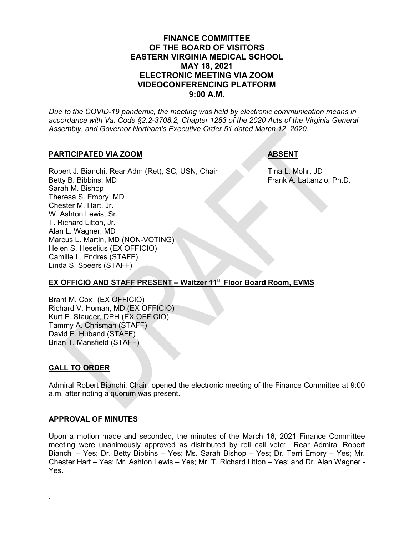# **FINANCE COMMITTEE OF THE BOARD OF VISITORS EASTERN VIRGINIA MEDICAL SCHOOL MAY 18, 2021 ELECTRONIC MEETING VIA ZOOM VIDEOCONFERENCING PLATFORM 9:00 A.M.**

*Due to the COVID-19 pandemic, the meeting was held by electronic communication means in accordance with Va. Code §2.2-3708.2, Chapter 1283 of the 2020 Acts of the Virginia General Assembly, and Governor Northam's Executive Order 51 dated March 12, 2020.*

# **PARTICIPATED VIA ZOOM ABSENT**

Robert J. Bianchi, Rear Adm (Ret), SC, USN, Chair Tina L. Mohr, JD Betty B. Bibbins, MD **Frank A. Lattanzio, Ph.D.** Sarah M. Bishop Theresa S. Emory, MD Chester M. Hart, Jr. W. Ashton Lewis, Sr. T. Richard Litton, Jr. Alan L. Wagner, MD Marcus L. Martin, MD (NON-VOTING) Helen S. Heselius (EX OFFICIO) Camille L. Endres (STAFF) Linda S. Speers (STAFF)

# **EX OFFICIO AND STAFF PRESENT – Waitzer 11th Floor Board Room, EVMS**

Brant M. Cox (EX OFFICIO) Richard V. Homan, MD (EX OFFICIO) Kurt E. Stauder, DPH (EX OFFICIO) Tammy A. Chrisman (STAFF) David E. Huband (STAFF) Brian T. Mansfield (STAFF)

# **CALL TO ORDER**

.

Admiral Robert Bianchi, Chair, opened the electronic meeting of the Finance Committee at 9:00 a.m. after noting a quorum was present.

# **APPROVAL OF MINUTES**

Upon a motion made and seconded, the minutes of the March 16, 2021 Finance Committee meeting were unanimously approved as distributed by roll call vote: Rear Admiral Robert Bianchi – Yes; Dr. Betty Bibbins – Yes; Ms. Sarah Bishop – Yes; Dr. Terri Emory – Yes; Mr. Chester Hart – Yes; Mr. Ashton Lewis – Yes; Mr. T. Richard Litton – Yes; and Dr. Alan Wagner - Yes.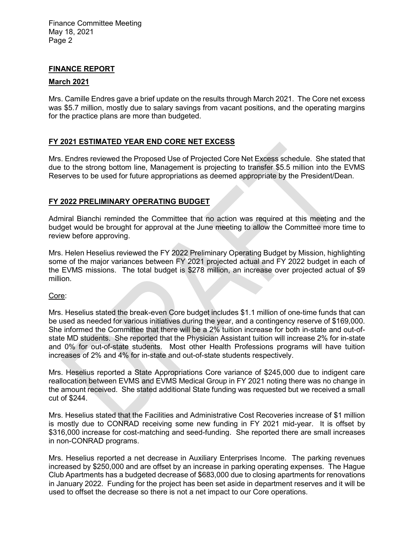Finance Committee Meeting May 18, 2021 Page 2

### **FINANCE REPORT**

#### **March 2021**

Mrs. Camille Endres gave a brief update on the results through March 2021. The Core net excess was \$5.7 million, mostly due to salary savings from vacant positions, and the operating margins for the practice plans are more than budgeted.

# **FY 2021 ESTIMATED YEAR END CORE NET EXCESS**

Mrs. Endres reviewed the Proposed Use of Projected Core Net Excess schedule. She stated that due to the strong bottom line, Management is projecting to transfer \$5.5 million into the EVMS Reserves to be used for future appropriations as deemed appropriate by the President/Dean.

# **FY 2022 PRELIMINARY OPERATING BUDGET**

Admiral Bianchi reminded the Committee that no action was required at this meeting and the budget would be brought for approval at the June meeting to allow the Committee more time to review before approving.

Mrs. Helen Heselius reviewed the FY 2022 Preliminary Operating Budget by Mission, highlighting some of the major variances between FY 2021 projected actual and FY 2022 budget in each of the EVMS missions. The total budget is \$278 million, an increase over projected actual of \$9 million.

#### Core:

Mrs. Heselius stated the break-even Core budget includes \$1.1 million of one-time funds that can be used as needed for various initiatives during the year, and a contingency reserve of \$169,000. She informed the Committee that there will be a 2% tuition increase for both in-state and out-ofstate MD students. She reported that the Physician Assistant tuition will increase 2% for in-state and 0% for out-of-state students. Most other Health Professions programs will have tuition increases of 2% and 4% for in-state and out-of-state students respectively.

Mrs. Heselius reported a State Appropriations Core variance of \$245,000 due to indigent care reallocation between EVMS and EVMS Medical Group in FY 2021 noting there was no change in the amount received. She stated additional State funding was requested but we received a small cut of \$244.

Mrs. Heselius stated that the Facilities and Administrative Cost Recoveries increase of \$1 million is mostly due to CONRAD receiving some new funding in FY 2021 mid-year. It is offset by \$316,000 increase for cost-matching and seed-funding. She reported there are small increases in non-CONRAD programs.

Mrs. Heselius reported a net decrease in Auxiliary Enterprises Income. The parking revenues increased by \$250,000 and are offset by an increase in parking operating expenses. The Hague Club Apartments has a budgeted decrease of \$683,000 due to closing apartments for renovations in January 2022. Funding for the project has been set aside in department reserves and it will be used to offset the decrease so there is not a net impact to our Core operations.